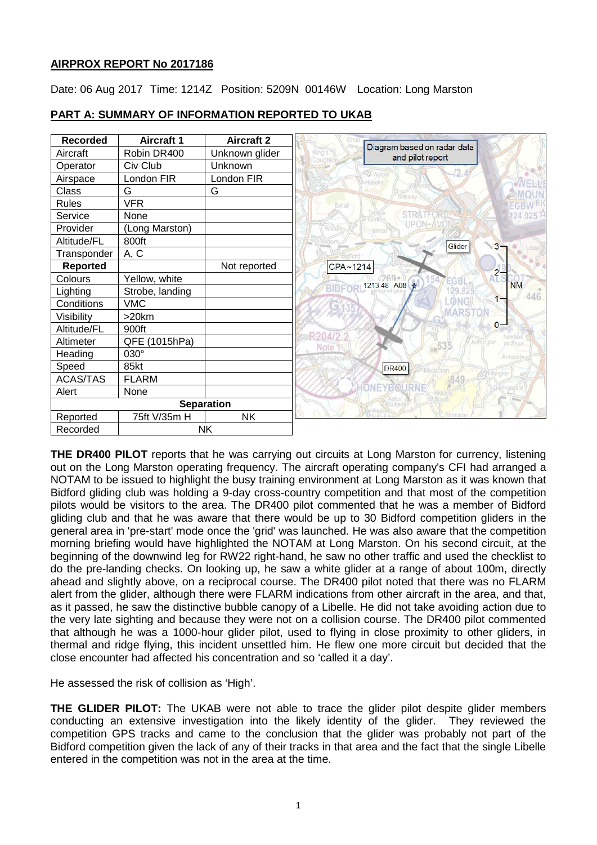## **AIRPROX REPORT No 2017186**

Date: 06 Aug 2017 Time: 1214Z Position: 5209N 00146W Location: Long Marston



# **PART A: SUMMARY OF INFORMATION REPORTED TO UKAB**

**THE DR400 PILOT** reports that he was carrying out circuits at Long Marston for currency, listening out on the Long Marston operating frequency. The aircraft operating company's CFI had arranged a NOTAM to be issued to highlight the busy training environment at Long Marston as it was known that Bidford gliding club was holding a 9-day cross-country competition and that most of the competition pilots would be visitors to the area. The DR400 pilot commented that he was a member of Bidford gliding club and that he was aware that there would be up to 30 Bidford competition gliders in the general area in 'pre-start' mode once the 'grid' was launched. He was also aware that the competition morning briefing would have highlighted the NOTAM at Long Marston. On his second circuit, at the beginning of the downwind leg for RW22 right-hand, he saw no other traffic and used the checklist to do the pre-landing checks. On looking up, he saw a white glider at a range of about 100m, directly ahead and slightly above, on a reciprocal course. The DR400 pilot noted that there was no FLARM alert from the glider, although there were FLARM indications from other aircraft in the area, and that, as it passed, he saw the distinctive bubble canopy of a Libelle. He did not take avoiding action due to the very late sighting and because they were not on a collision course. The DR400 pilot commented that although he was a 1000-hour glider pilot, used to flying in close proximity to other gliders, in thermal and ridge flying, this incident unsettled him. He flew one more circuit but decided that the close encounter had affected his concentration and so 'called it a day'.

He assessed the risk of collision as 'High'.

**THE GLIDER PILOT:** The UKAB were not able to trace the glider pilot despite glider members conducting an extensive investigation into the likely identity of the glider. They reviewed the competition GPS tracks and came to the conclusion that the glider was probably not part of the Bidford competition given the lack of any of their tracks in that area and the fact that the single Libelle entered in the competition was not in the area at the time.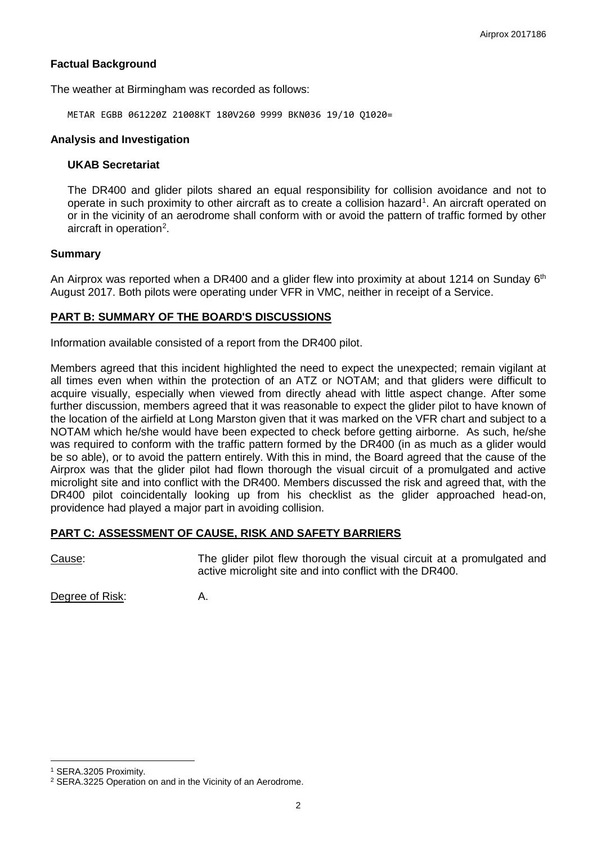## **Factual Background**

The weather at Birmingham was recorded as follows:

METAR EGBB 061220Z 21008KT 180V260 9999 BKN036 19/10 Q1020=

#### **Analysis and Investigation**

#### **UKAB Secretariat**

The DR400 and glider pilots shared an equal responsibility for collision avoidance and not to operate in such proximity to other aircraft as to create a collision hazard<sup>[1](#page-1-0)</sup>. An aircraft operated on or in the vicinity of an aerodrome shall conform with or avoid the pattern of traffic formed by other aircraft in operation<sup>[2](#page-1-1)</sup>.

### **Summary**

An Airprox was reported when a DR400 and a glider flew into proximity at about 1214 on Sunday 6<sup>th</sup> August 2017. Both pilots were operating under VFR in VMC, neither in receipt of a Service.

### **PART B: SUMMARY OF THE BOARD'S DISCUSSIONS**

Information available consisted of a report from the DR400 pilot.

Members agreed that this incident highlighted the need to expect the unexpected; remain vigilant at all times even when within the protection of an ATZ or NOTAM; and that gliders were difficult to acquire visually, especially when viewed from directly ahead with little aspect change. After some further discussion, members agreed that it was reasonable to expect the glider pilot to have known of the location of the airfield at Long Marston given that it was marked on the VFR chart and subject to a NOTAM which he/she would have been expected to check before getting airborne. As such, he/she was required to conform with the traffic pattern formed by the DR400 (in as much as a glider would be so able), or to avoid the pattern entirely. With this in mind, the Board agreed that the cause of the Airprox was that the glider pilot had flown thorough the visual circuit of a promulgated and active microlight site and into conflict with the DR400. Members discussed the risk and agreed that, with the DR400 pilot coincidentally looking up from his checklist as the glider approached head-on, providence had played a major part in avoiding collision.

### **PART C: ASSESSMENT OF CAUSE, RISK AND SAFETY BARRIERS**

Cause: The glider pilot flew thorough the visual circuit at a promulgated and active microlight site and into conflict with the DR400.

Degree of Risk: A.

l

<span id="page-1-0"></span><sup>1</sup> SERA.3205 Proximity.

<span id="page-1-1"></span><sup>2</sup> SERA.3225 Operation on and in the Vicinity of an Aerodrome.